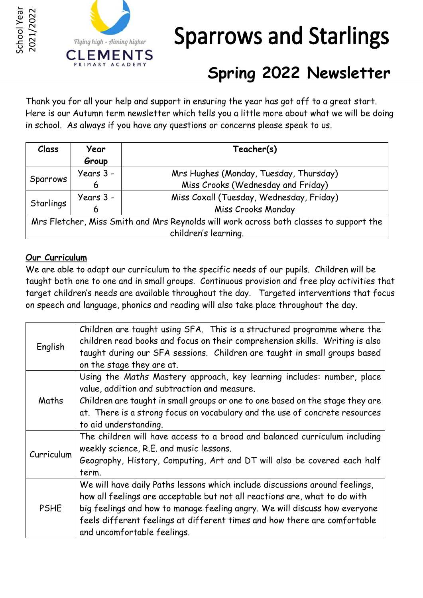



# **Sparrows and Starlings**

# **Spring 2022 Newsletter**

Thank you for all your help and support in ensuring the year has got off to a great start. Here is our Autumn term newsletter which tells you a little more about what we will be doing in school. As always if you have any questions or concerns please speak to us.

| Class     | Year      | Teacher(s)                                                                             |
|-----------|-----------|----------------------------------------------------------------------------------------|
|           | Group     |                                                                                        |
| Sparrows  | Years 3 - | Mrs Hughes (Monday, Tuesday, Thursday)                                                 |
|           | 6         | Miss Crooks (Wednesday and Friday)                                                     |
| Starlings | Years 3 - | Miss Coxall (Tuesday, Wednesday, Friday)                                               |
|           | 6         | Miss Crooks Monday                                                                     |
|           |           | Mrs Fletcher, Miss Smith and Mrs Reynolds will work across both classes to support the |
|           |           | children's learning.                                                                   |

## **Our Curriculum**

We are able to adapt our curriculum to the specific needs of our pupils. Children will be taught both one to one and in small groups. Continuous provision and free play activities that target children's needs are available throughout the day. Targeted interventions that focus on speech and language, phonics and reading will also take place throughout the day.

| English     | Children are taught using SFA. This is a structured programme where the<br>children read books and focus on their comprehension skills. Writing is also<br>taught during our SFA sessions. Children are taught in small groups based<br>on the stage they are at.                                                                                   |  |  |
|-------------|-----------------------------------------------------------------------------------------------------------------------------------------------------------------------------------------------------------------------------------------------------------------------------------------------------------------------------------------------------|--|--|
| Maths       | Using the Maths Mastery approach, key learning includes: number, place<br>value, addition and subtraction and measure.<br>Children are taught in small groups or one to one based on the stage they are<br>at. There is a strong focus on vocabulary and the use of concrete resources<br>to aid understanding.                                     |  |  |
| Curriculum  | The children will have access to a broad and balanced curriculum including<br>weekly science, R.E. and music lessons.<br>Geography, History, Computing, Art and DT will also be covered each half<br>term.                                                                                                                                          |  |  |
| <b>PSHE</b> | We will have daily Paths lessons which include discussions around feelings,<br>how all feelings are acceptable but not all reactions are, what to do with<br>big feelings and how to manage feeling angry. We will discuss how everyone<br>feels different feelings at different times and how there are comfortable<br>and uncomfortable feelings. |  |  |